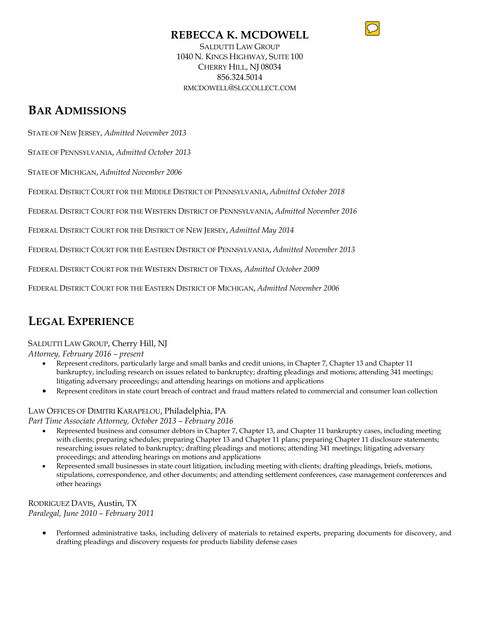### **REBECCA K. MCDOWELL**



SALDUTTI LAW GROUP 1040 N. KINGS HIGHWAY, SUITE 100 CHERRY HILL, NJ 08034 856.324.5014 RMCDOWELL@SLGCOLLECT.COM

### **BAR ADMISSIONS**

STATE OF NEW JERSEY, *Admitted November 2013*

STATE OF PENNSYLVANIA, *Admitted October 2013*

STATE OF MICHIGAN, *Admitted November 2006*

FEDERAL DISTRICT COURT FOR THE MIDDLE DISTRICT OF PENNSYLVANIA, *Admitted October 2018*

FEDERAL DISTRICT COURT FOR THE WESTERN DISTRICT OF PENNSYLVANIA, *Admitted November 2016*

FEDERAL DISTRICT COURT FOR THE DISTRICT OF NEW JERSEY, *Admitted May 2014*

FEDERAL DISTRICT COURT FOR THE EASTERN DISTRICT OF PENNSYLVANIA, *Admitted November 2013*

FEDERAL DISTRICT COURT FOR THE WESTERN DISTRICT OF TEXAS, *Admitted October 2009*

FEDERAL DISTRICT COURT FOR THE EASTERN DISTRICT OF MICHIGAN, *Admitted November 2006*

## **LEGAL EXPERIENCE**

#### SALDUTTI LAW GROUP, Cherry Hill, NJ

*Attorney, February 2016 – present* 

- Represent creditors, particularly large and small banks and credit unions, in Chapter 7, Chapter 13 and Chapter 11 bankruptcy, including research on issues related to bankruptcy; drafting pleadings and motions; attending 341 meetings; litigating adversary proceedings; and attending hearings on motions and applications
- Represent creditors in state court breach of contract and fraud matters related to commercial and consumer loan collection

#### LAW OFFICES OF DIMITRI KARAPELOU, Philadelphia, PA

*Part Time Associate Attorney, October 2013 – February 2016*

- Represented business and consumer debtors in Chapter 7, Chapter 13, and Chapter 11 bankruptcy cases, including meeting with clients; preparing schedules; preparing Chapter 13 and Chapter 11 plans; preparing Chapter 11 disclosure statements; researching issues related to bankruptcy; drafting pleadings and motions; attending 341 meetings; litigating adversary proceedings; and attending hearings on motions and applications
- Represented small businesses in state court litigation, including meeting with clients; drafting pleadings, briefs, motions, stipulations, correspondence, and other documents; and attending settlement conferences, case management conferences and other hearings

RODRIGUEZ DAVIS, Austin, TX *Paralegal, June 2010 – February 2011*

> • Performed administrative tasks, including delivery of materials to retained experts, preparing documents for discovery, and drafting pleadings and discovery requests for products liability defense cases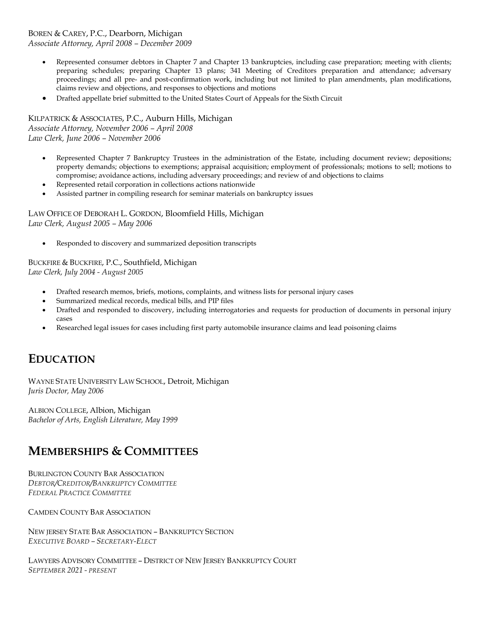### BOREN & CAREY, P.C., Dearborn, Michigan

*Associate Attorney, April 2008 – December 2009*

- Represented consumer debtors in Chapter 7 and Chapter 13 bankruptcies, including case preparation; meeting with clients; preparing schedules; preparing Chapter 13 plans; 341 Meeting of Creditors preparation and attendance; adversary proceedings; and all pre- and post-confirmation work, including but not limited to plan amendments, plan modifications, claims review and objections, and responses to objections and motions
- Drafted appellate brief submitted to the United States Court of Appeals for the Sixth Circuit

KILPATRICK & ASSOCIATES, P.C., Auburn Hills, Michigan *Associate Attorney, November 2006 – April 2008 Law Clerk, June 2006 – November 2006*

- Represented Chapter 7 Bankruptcy Trustees in the administration of the Estate, including document review; depositions; property demands; objections to exemptions; appraisal acquisition; employment of professionals; motions to sell; motions to compromise; avoidance actions, including adversary proceedings; and review of and objections to claims
- Represented retail corporation in collections actions nationwide
- Assisted partner in compiling research for seminar materials on bankruptcy issues

LAW OFFICE OF DEBORAH L. GORDON, Bloomfield Hills, Michigan *Law Clerk, August 2005 – May 2006*

• Responded to discovery and summarized deposition transcripts

BUCKFIRE & BUCKFIRE, P.C., Southfield, Michigan *Law Clerk, July 2004 - August 2005*

- Drafted research memos, briefs, motions, complaints, and witness lists for personal injury cases
- Summarized medical records, medical bills, and PIP files
- Drafted and responded to discovery, including interrogatories and requests for production of documents in personal injury cases
- Researched legal issues for cases including first party automobile insurance claims and lead poisoning claims

## **EDUCATION**

WAYNE STATE UNIVERSITY LAW SCHOOL, Detroit, Michigan *Juris Doctor, May 2006*

ALBION COLLEGE, Albion, Michigan *Bachelor of Arts, English Literature, May 1999*

### **MEMBERSHIPS & COMMITTEES**

BURLINGTON COUNTY BAR ASSOCIATION *DEBTOR/CREDITOR/BANKRUPTCY COMMITTEE FEDERAL PRACTICE COMMITTEE*

CAMDEN COUNTY BAR ASSOCIATION

NEW JERSEY STATE BAR ASSOCIATION – BANKRUPTCY SECTION *EXECUTIVE BOARD – SECRETARY-ELECT*

LAWYERS ADVISORY COMMITTEE – DISTRICT OF NEW JERSEY BANKRUPTCY COURT *SEPTEMBER 2021 - PRESENT*